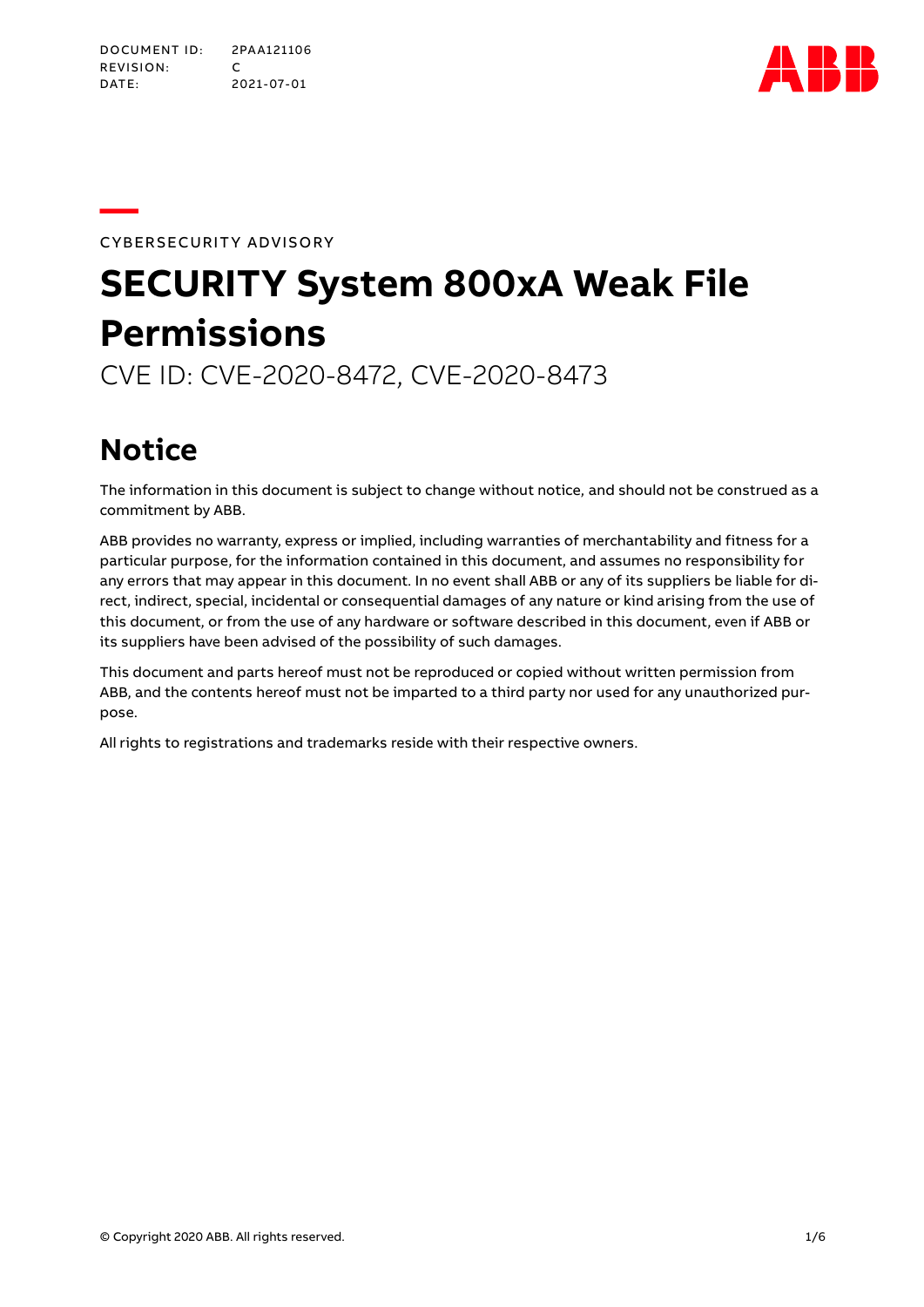

**—**CYBERSECURITY ADVISORY

# **SECURITY System 800xA Weak File Permissions**

CVE ID: CVE-2020-8472, CVE-2020-8473

# **Notice**

The information in this document is subject to change without notice, and should not be construed as a commitment by ABB.

ABB provides no warranty, express or implied, including warranties of merchantability and fitness for a particular purpose, for the information contained in this document, and assumes no responsibility for any errors that may appear in this document. In no event shall ABB or any of its suppliers be liable for direct, indirect, special, incidental or consequential damages of any nature or kind arising from the use of this document, or from the use of any hardware or software described in this document, even if ABB or its suppliers have been advised of the possibility of such damages.

This document and parts hereof must not be reproduced or copied without written permission from ABB, and the contents hereof must not be imparted to a third party nor used for any unauthorized purpose.

All rights to registrations and trademarks reside with their respective owners.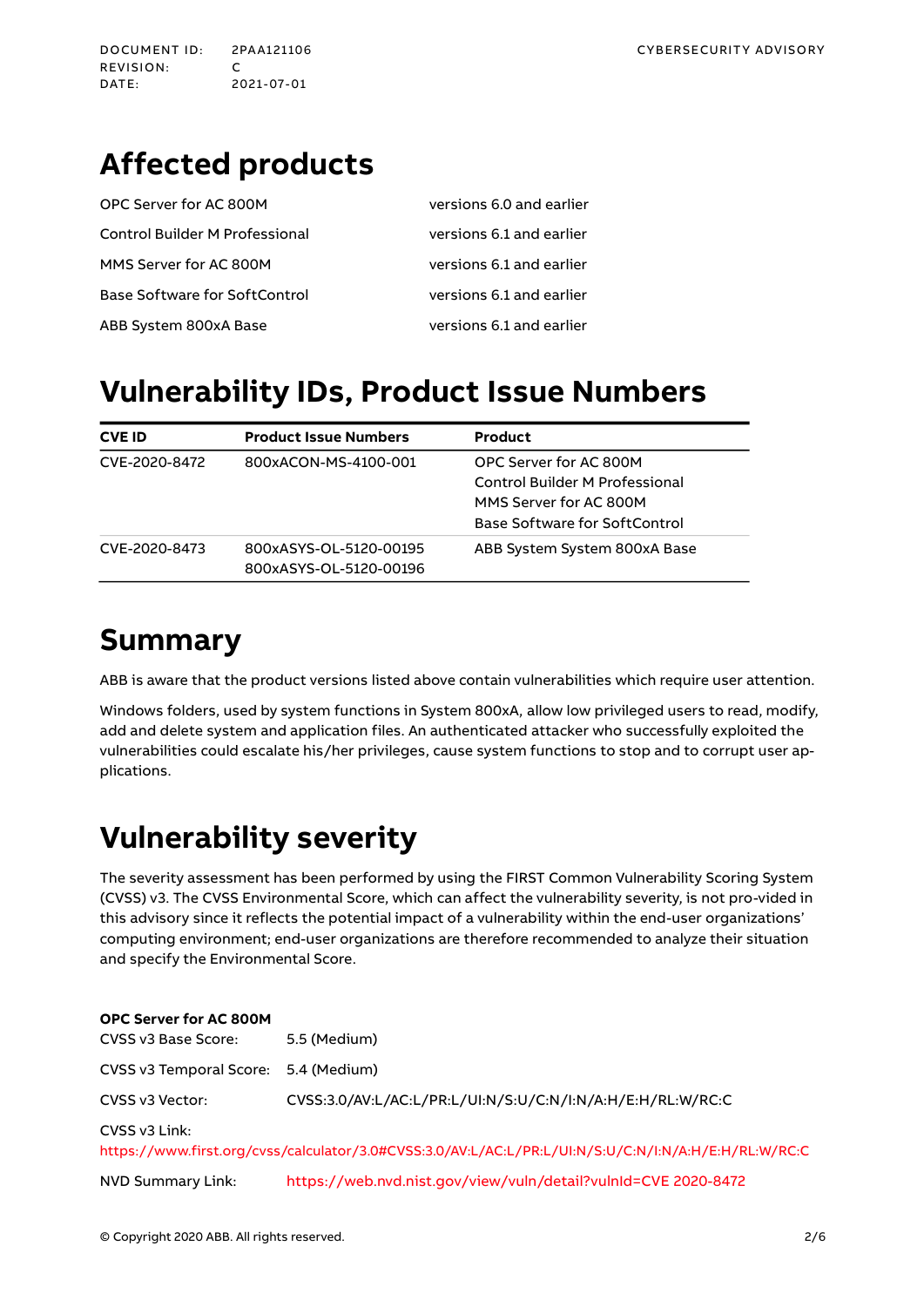DATE: 2021-07-01

# **Affected products**

| OPC Server for AC 800M                | versions 6.0 and earlier |
|---------------------------------------|--------------------------|
| <b>Control Builder M Professional</b> | versions 6.1 and earlier |
| MMS Server for AC 800M                | versions 6.1 and earlier |
| <b>Base Software for SoftControl</b>  | versions 6.1 and earlier |
| ABB System 800xA Base                 | versions 6.1 and earlier |

# **Vulnerability IDs, Product Issue Numbers**

| <b>CVE ID</b> | <b>Product Issue Numbers</b>                     | Product                                                                                                             |
|---------------|--------------------------------------------------|---------------------------------------------------------------------------------------------------------------------|
| CVE-2020-8472 | 800xACON-MS-4100-001                             | OPC Server for AC 800M<br>Control Builder M Professional<br>MMS Server for AC 800M<br>Base Software for SoftControl |
| CVE-2020-8473 | 800xASYS-OL-5120-00195<br>800xASYS-OL-5120-00196 | ABB System System 800xA Base                                                                                        |

### **Summary**

ABB is aware that the product versions listed above contain vulnerabilities which require user attention.

Windows folders, used by system functions in System 800xA, allow low privileged users to read, modify, add and delete system and application files. An authenticated attacker who successfully exploited the vulnerabilities could escalate his/her privileges, cause system functions to stop and to corrupt user applications.

# **Vulnerability severity**

The severity assessment has been performed by using the FIRST Common Vulnerability Scoring System (CVSS) v3. The CVSS Environmental Score, which can affect the vulnerability severity, is not pro-vided in this advisory since it reflects the potential impact of a vulnerability within the end-user organizations' computing environment; end-user organizations are therefore recommended to analyze their situation and specify the Environmental Score.

| <b>OPC Server for AC 800M</b>        |                                                                                                      |
|--------------------------------------|------------------------------------------------------------------------------------------------------|
| CVSS v3 Base Score:                  | 5.5 (Medium)                                                                                         |
| CVSS v3 Temporal Score: 5.4 (Medium) |                                                                                                      |
| CVSS v3 Vector:                      | CVSS:3.0/AV:L/AC:L/PR:L/UI:N/S:U/C:N/I:N/A:H/E:H/RL:W/RC:C                                           |
| CVSS v3 Link:                        | https://www.first.org/cvss/calculator/3.0#CVSS:3.0/AV:L/AC:L/PR:L/UI:N/S:U/C:N/I:N/A:H/E:H/RL:W/RC:C |
| NVD Summary Link:                    | https://web.nvd.nist.gov/view/vuln/detail?vulnId=CVE 2020-8472                                       |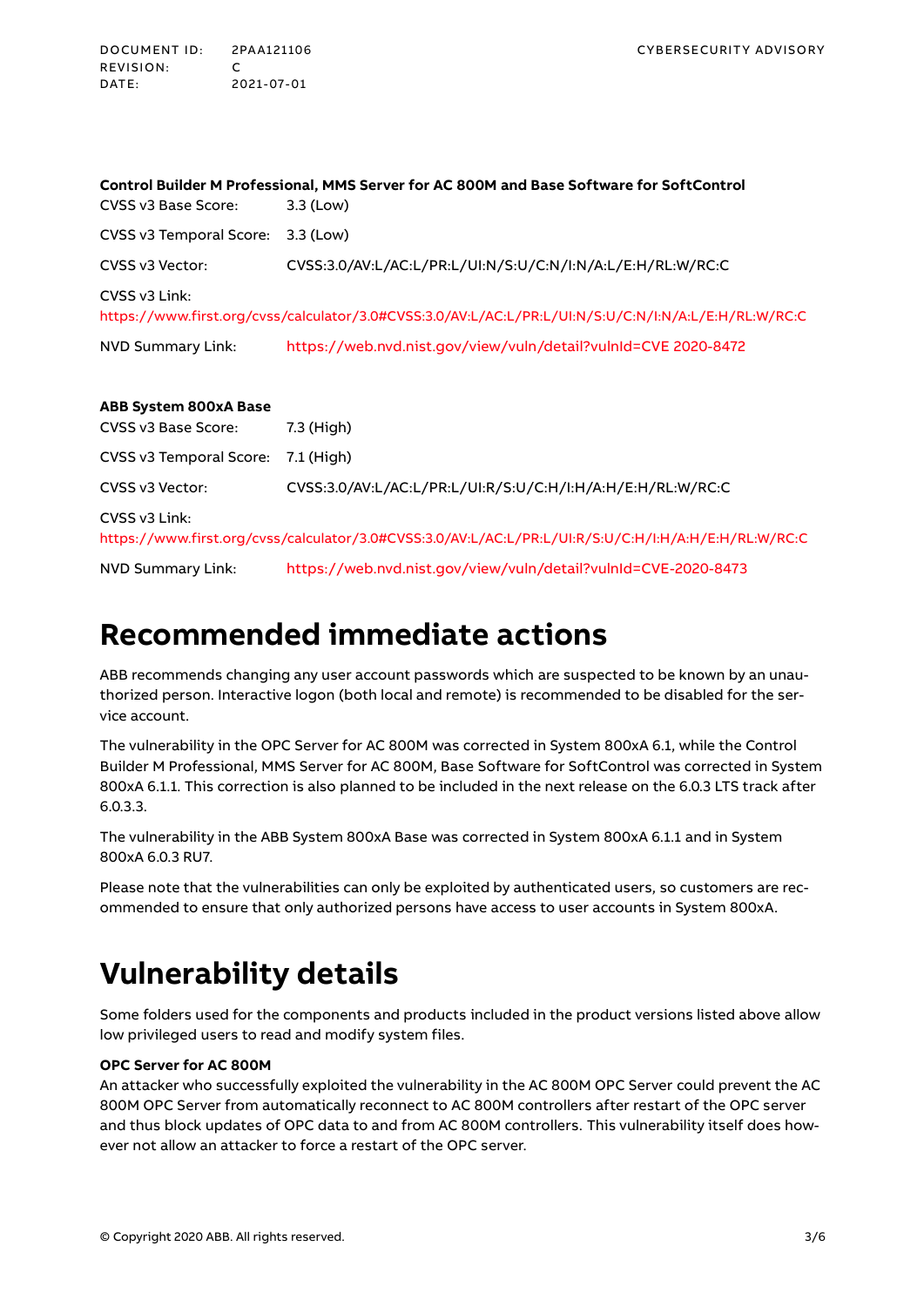| Control Builder M Professional, MMS Server for AC 800M and Base Software for SoftControl             |                                                                |  |  |  |  |
|------------------------------------------------------------------------------------------------------|----------------------------------------------------------------|--|--|--|--|
| CVSS v3 Base Score:                                                                                  | 3.3 (Low)                                                      |  |  |  |  |
| CVSS v3 Temporal Score:                                                                              | 3.3 (Low)                                                      |  |  |  |  |
| CVSS v3 Vector:                                                                                      | CVSS:3.0/AV:L/AC:L/PR:L/UI:N/S:U/C:N/I:N/A:L/E:H/RL:W/RC:C     |  |  |  |  |
| CVSS v3 Link:                                                                                        |                                                                |  |  |  |  |
| https://www.first.org/cvss/calculator/3.0#CVSS:3.0/AV:L/AC:L/PR:L/UI:N/S:U/C:N/I:N/A:L/E:H/RL:W/RC:C |                                                                |  |  |  |  |
| <b>NVD Summary Link:</b>                                                                             | https://web.nvd.nist.gov/view/vuln/detail?vulnId=CVE 2020-8472 |  |  |  |  |
|                                                                                                      |                                                                |  |  |  |  |
| <b>ABB System 800xA Base</b>                                                                         |                                                                |  |  |  |  |
| CVSS v3 Base Score:                                                                                  | 7.3 (High)                                                     |  |  |  |  |
| CVSS v3 Temporal Score:                                                                              | 7.1 (High)                                                     |  |  |  |  |
| CVSS v3 Vector:                                                                                      | CVSS:3.0/AV:L/AC:L/PR:L/UI:R/S:U/C:H/I:H/A:H/E:H/RL:W/RC:C     |  |  |  |  |
| CVSS v3 Link:                                                                                        |                                                                |  |  |  |  |

<https://www.first.org/cvss/calculator/3.0#CVSS:3.0/AV:L/AC:L/PR:L/UI:R/S:U/C:H/I:H/A:H/E:H/RL:W/RC:C>

NVD Summary Link: <https://web.nvd.nist.gov/view/vuln/detail?vulnId=CVE-2020-8473>

### **Recommended immediate actions**

ABB recommends changing any user account passwords which are suspected to be known by an unauthorized person. Interactive logon (both local and remote) is recommended to be disabled for the service account.

The vulnerability in the OPC Server for AC 800M was corrected in System 800xA 6.1, while the Control Builder M Professional, MMS Server for AC 800M, Base Software for SoftControl was corrected in System 800xA 6.1.1. This correction is also planned to be included in the next release on the 6.0.3 LTS track after 6.0.3.3.

The vulnerability in the ABB System 800xA Base was corrected in System 800xA 6.1.1 and in System 800xA 6.0.3 RU7.

Please note that the vulnerabilities can only be exploited by authenticated users, so customers are recommended to ensure that only authorized persons have access to user accounts in System 800xA.

# **Vulnerability details**

Some folders used for the components and products included in the product versions listed above allow low privileged users to read and modify system files.

#### **OPC Server for AC 800M**

An attacker who successfully exploited the vulnerability in the AC 800M OPC Server could prevent the AC 800M OPC Server from automatically reconnect to AC 800M controllers after restart of the OPC server and thus block updates of OPC data to and from AC 800M controllers. This vulnerability itself does however not allow an attacker to force a restart of the OPC server.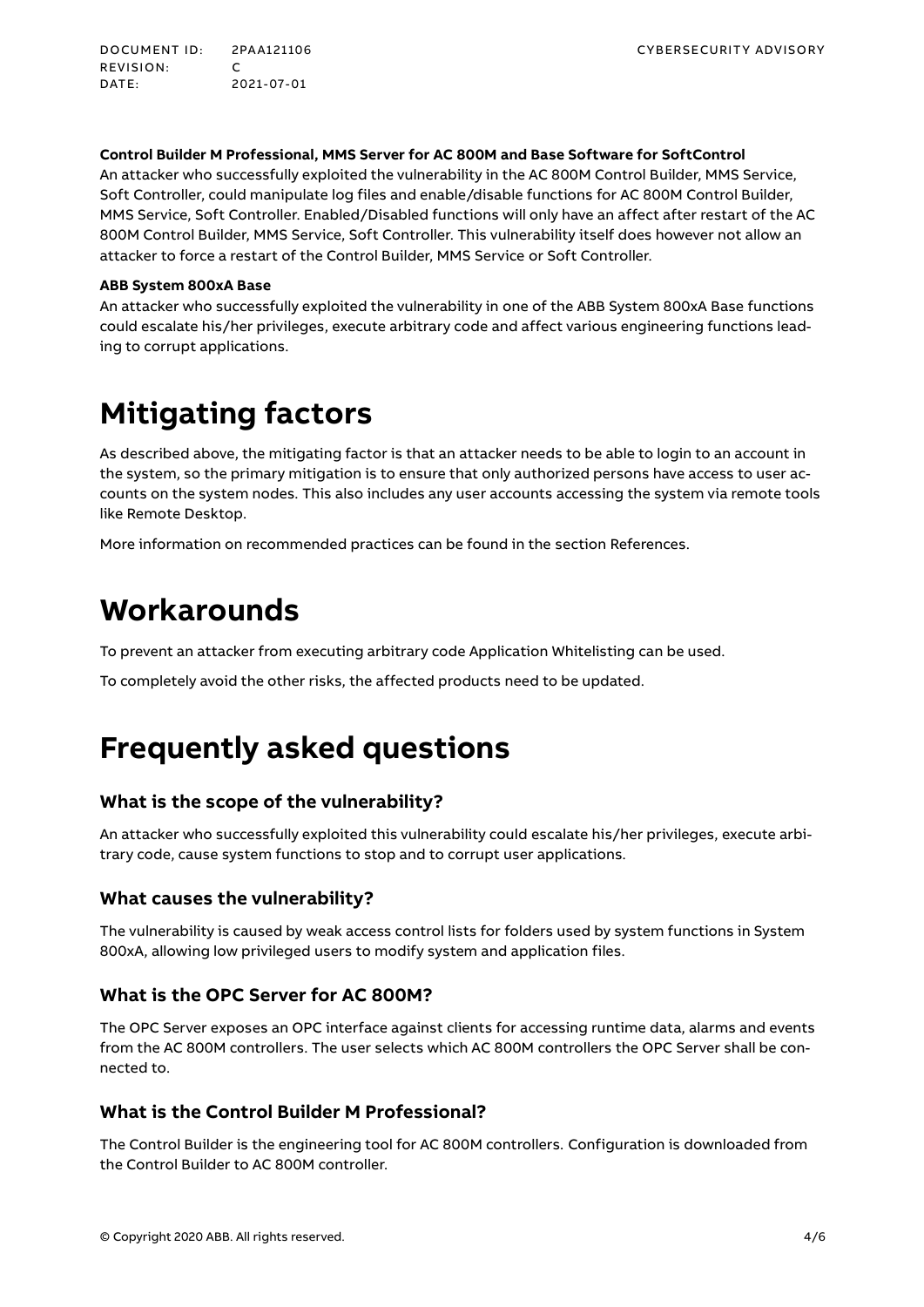DOCUMENT ID: 2PAA121106 CYBERSECURITY ADVISORY REVISION: C<br>DATE: 2 DATE: 2021-07-01

#### **Control Builder M Professional, MMS Server for AC 800M and Base Software for SoftControl**

An attacker who successfully exploited the vulnerability in the AC 800M Control Builder, MMS Service, Soft Controller, could manipulate log files and enable/disable functions for AC 800M Control Builder, MMS Service, Soft Controller. Enabled/Disabled functions will only have an affect after restart of the AC 800M Control Builder, MMS Service, Soft Controller. This vulnerability itself does however not allow an attacker to force a restart of the Control Builder, MMS Service or Soft Controller.

#### **ABB System 800xA Base**

An attacker who successfully exploited the vulnerability in one of the ABB System 800xA Base functions could escalate his/her privileges, execute arbitrary code and affect various engineering functions leading to corrupt applications.

# **Mitigating factors**

As described above, the mitigating factor is that an attacker needs to be able to login to an account in the system, so the primary mitigation is to ensure that only authorized persons have access to user accounts on the system nodes. This also includes any user accounts accessing the system via remote tools like Remote Desktop.

More information on recommended practices can be found in the section [References.](#page-5-0)

### **Workarounds**

To prevent an attacker from executing arbitrary code Application Whitelisting can be used.

To completely avoid the other risks, the affected products need to be updated.

### **Frequently asked questions**

#### **What is the scope of the vulnerability?**

An attacker who successfully exploited this vulnerability could escalate his/her privileges, execute arbitrary code, cause system functions to stop and to corrupt user applications.

#### **What causes the vulnerability?**

The vulnerability is caused by weak access control lists for folders used by system functions in System 800xA, allowing low privileged users to modify system and application files.

#### **What is the OPC Server for AC 800M?**

The OPC Server exposes an OPC interface against clients for accessing runtime data, alarms and events from the AC 800M controllers. The user selects which AC 800M controllers the OPC Server shall be connected to.

#### **What is the Control Builder M Professional?**

The Control Builder is the engineering tool for AC 800M controllers. Configuration is downloaded from the Control Builder to AC 800M controller.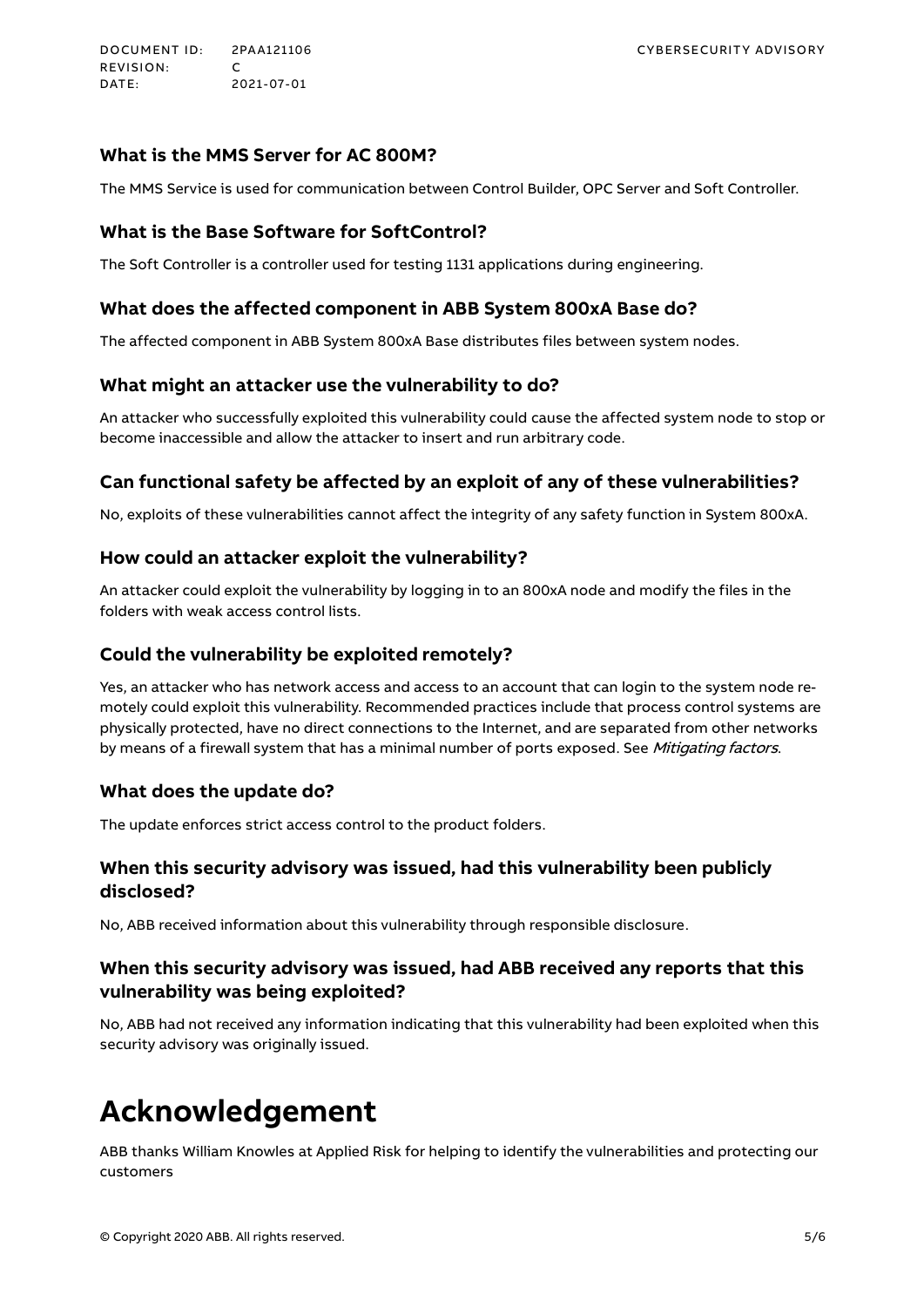DOCUMENT ID: 2PAA121106 CYBERSECURITY ADVISORY REVISION:<br>DATE: DATE: 2021-07-01

#### **What is the MMS Server for AC 800M?**

The MMS Service is used for communication between Control Builder, OPC Server and Soft Controller.

#### **What is the Base Software for SoftControl?**

The Soft Controller is a controller used for testing 1131 applications during engineering.

#### **What does the affected component in ABB System 800xA Base do?**

The affected component in ABB System 800xA Base distributes files between system nodes.

#### **What might an attacker use the vulnerability to do?**

An attacker who successfully exploited this vulnerability could cause the affected system node to stop or become inaccessible and allow the attacker to insert and run arbitrary code.

#### **Can functional safety be affected by an exploit of any of these vulnerabilities?**

No, exploits of these vulnerabilities cannot affect the integrity of any safety function in System 800xA.

#### **How could an attacker exploit the vulnerability?**

An attacker could exploit the vulnerability by logging in to an 800xA node and modify the files in the folders with weak access control lists.

#### **Could the vulnerability be exploited remotely?**

Yes, an attacker who has network access and access to an account that can login to the system node remotely could exploit this vulnerability. Recommended practices include that process control systems are physically protected, have no direct connections to the Internet, and are separated from other networks by means of a firewall system that has a minimal number of ports exposed. See Mitigating factors.

#### **What does the update do?**

The update enforces strict access control to the product folders.

#### **When this security advisory was issued, had this vulnerability been publicly disclosed?**

No, ABB received information about this vulnerability through responsible disclosure.

#### **When this security advisory was issued, had ABB received any reports that this vulnerability was being exploited?**

No, ABB had not received any information indicating that this vulnerability had been exploited when this security advisory was originally issued.

### **Acknowledgement**

ABB thanks William Knowles at Applied Risk for helping to identify the vulnerabilities and protecting our customers